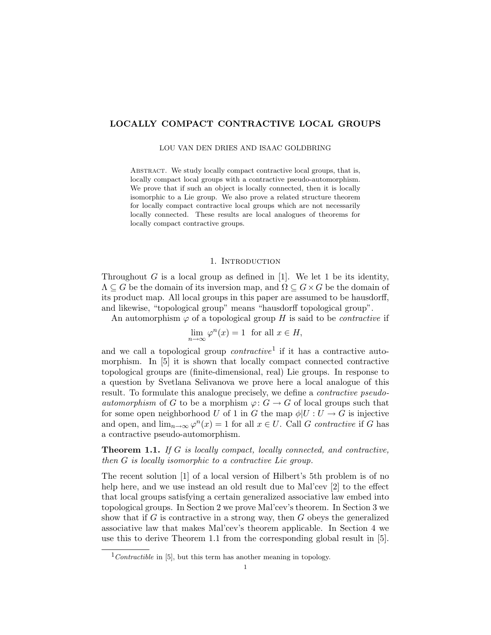# LOCALLY COMPACT CONTRACTIVE LOCAL GROUPS

LOU VAN DEN DRIES AND ISAAC GOLDBRING

ABSTRACT. We study locally compact contractive local groups, that is, locally compact local groups with a contractive pseudo-automorphism. We prove that if such an object is locally connected, then it is locally isomorphic to a Lie group. We also prove a related structure theorem for locally compact contractive local groups which are not necessarily locally connected. These results are local analogues of theorems for locally compact contractive groups.

## 1. INTRODUCTION

Throughout  $G$  is a local group as defined in [1]. We let 1 be its identity,  $\Lambda \subseteq G$  be the domain of its inversion map, and  $\Omega \subseteq G \times G$  be the domain of its product map. All local groups in this paper are assumed to be hausdorff, and likewise, "topological group" means "hausdorff topological group".

An automorphism  $\varphi$  of a topological group H is said to be *contractive* if

$$
\lim_{n \to \infty} \varphi^n(x) = 1 \text{ for all } x \in H,
$$

and we call a topological group *contractive*<sup>1</sup> if it has a contractive automorphism. In [5] it is shown that locally compact connected contractive topological groups are (finite-dimensional, real) Lie groups. In response to a question by Svetlana Selivanova we prove here a local analogue of this result. To formulate this analogue precisely, we define a contractive pseudo*automorphism* of G to be a morphism  $\varphi: G \to G$  of local groups such that for some open neighborhood U of 1 in G the map  $\phi|U:U\to G$  is injective and open, and  $\lim_{n\to\infty}\varphi^n(x)=1$  for all  $x\in U$ . Call G contractive if G has a contractive pseudo-automorphism.

Theorem 1.1. If G is locally compact, locally connected, and contractive, then G is locally isomorphic to a contractive Lie group.

The recent solution [1] of a local version of Hilbert's 5th problem is of no help here, and we use instead an old result due to Mal'cev [2] to the effect that local groups satisfying a certain generalized associative law embed into topological groups. In Section 2 we prove Mal'cev's theorem. In Section 3 we show that if  $G$  is contractive in a strong way, then  $G$  obeys the generalized associative law that makes Mal'cev's theorem applicable. In Section 4 we use this to derive Theorem 1.1 from the corresponding global result in [5].

 $1$ Contractible in [5], but this term has another meaning in topology.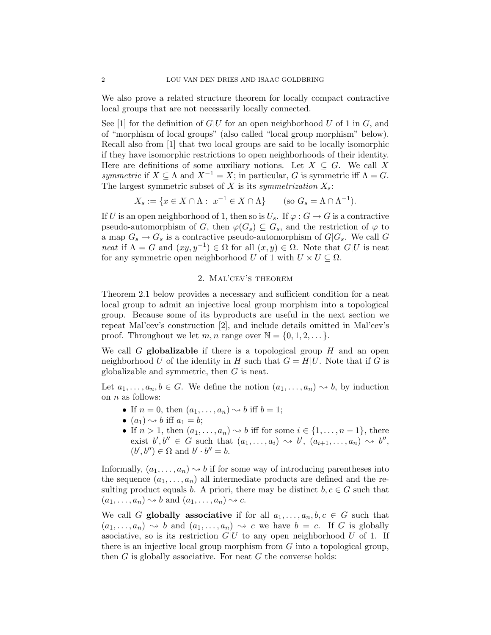We also prove a related structure theorem for locally compact contractive local groups that are not necessarily locally connected.

See [1] for the definition of  $G|U$  for an open neighborhood U of 1 in G, and of "morphism of local groups" (also called "local group morphism" below). Recall also from [1] that two local groups are said to be locally isomorphic if they have isomorphic restrictions to open neighborhoods of their identity. Here are definitions of some auxiliary notions. Let  $X \subseteq G$ . We call X symmetric if  $X \subseteq \Lambda$  and  $X^{-1} = X$ ; in particular, G is symmetric iff  $\Lambda = G$ . The largest symmetric subset of  $X$  is its symmetrization  $X_s$ :

$$
X_s := \{ x \in X \cap \Lambda : \ x^{-1} \in X \cap \Lambda \} \qquad \text{(so } G_s = \Lambda \cap \Lambda^{-1}).
$$

If U is an open neighborhood of 1, then so is  $U_s$ . If  $\varphi : G \to G$  is a contractive pseudo-automorphism of G, then  $\varphi(G_s) \subseteq G_s$ , and the restriction of  $\varphi$  to a map  $G_s \to G_s$  is a contractive pseudo-automorphism of  $G|G_s$ . We call G neat if  $\Lambda = G$  and  $(xy, y^{-1}) \in \Omega$  for all  $(x, y) \in \Omega$ . Note that  $G|U$  is neat for any symmetric open neighborhood U of 1 with  $U \times U \subseteq \Omega$ .

## 2. Mal'cev's theorem

Theorem 2.1 below provides a necessary and sufficient condition for a neat local group to admit an injective local group morphism into a topological group. Because some of its byproducts are useful in the next section we repeat Mal'cev's construction [2], and include details omitted in Mal'cev's proof. Throughout we let m, n range over  $\mathbb{N} = \{0, 1, 2, \dots\}$ .

We call G **globalizable** if there is a topological group  $H$  and an open neighborhood U of the identity in H such that  $G = H|U$ . Note that if G is globalizable and symmetric, then G is neat.

Let  $a_1, \ldots, a_n, b \in G$ . We define the notion  $(a_1, \ldots, a_n) \rightsquigarrow b$ , by induction on  $n$  as follows:

- If  $n = 0$ , then  $(a_1, \ldots, a_n) \rightsquigarrow b$  iff  $b = 1$ ;
- $(a_1) \rightarrow b$  iff  $a_1 = b$ ;
- If  $n > 1$ , then  $(a_1, \ldots, a_n) \rightsquigarrow b$  iff for some  $i \in \{1, \ldots, n-1\}$ , there exist  $b', b'' \in G$  such that  $(a_1, \ldots, a_i) \rightsquigarrow b', (a_{i+1}, \ldots, a_n) \rightsquigarrow b'',$  $(b', b'') \in \Omega$  and  $b' \cdot b'' = b$ .

Informally,  $(a_1, \ldots, a_n) \rightsquigarrow b$  if for some way of introducing parentheses into the sequence  $(a_1, \ldots, a_n)$  all intermediate products are defined and the resulting product equals b. A priori, there may be distinct  $b, c \in G$  such that  $(a_1, \ldots, a_n) \rightsquigarrow b$  and  $(a_1, \ldots, a_n) \rightsquigarrow c$ .

We call G globally associative if for all  $a_1, \ldots, a_n, b, c \in G$  such that  $(a_1, \ldots, a_n) \rightsquigarrow b$  and  $(a_1, \ldots, a_n) \rightsquigarrow c$  we have  $b = c$ . If G is globally asociative, so is its restriction  $G|U$  to any open neighborhood U of 1. If there is an injective local group morphism from G into a topological group, then  $G$  is globally associative. For neat  $G$  the converse holds: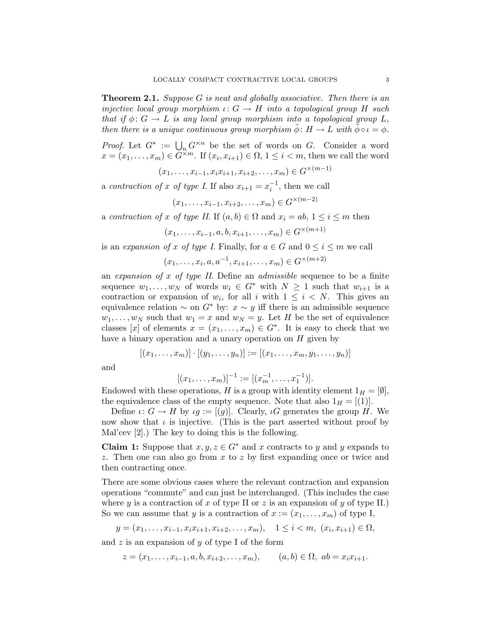**Theorem 2.1.** Suppose G is neat and globally associative. Then there is an injective local group morphism  $\iota: G \to H$  into a topological group H such that if  $\phi: G \to L$  is any local group morphism into a topological group L, then there is a unique continuous group morphism  $\phi: H \to L$  with  $\phi \circ \iota = \phi$ .

*Proof.* Let  $G^* := \bigcup_n G^{\times n}$  be the set of words on G. Consider a word  $x = (x_1, \ldots, x_m) \in G^{\times m}$ . If  $(x_i, x_{i+1}) \in \Omega$ ,  $1 \leq i < m$ , then we call the word

 $(x_1, \ldots, x_{i-1}, x_i x_{i+1}, x_{i+2}, \ldots, x_m) \in G^{\times (m-1)}$ 

a contraction of x of type I. If also  $x_{i+1} = x_i^{-1}$ , then we call

$$
(x_1, \ldots, x_{i-1}, x_{i+2}, \ldots, x_m) \in G^{\times (m-2)}
$$

a contraction of x of type II. If  $(a, b) \in \Omega$  and  $x_i = ab, 1 \leq i \leq m$  then

$$
(x_1, \ldots, x_{i-1}, a, b, x_{i+1}, \ldots, x_m) \in G^{\times (m+1)}
$$

is an expansion of x of type I. Finally, for  $a \in G$  and  $0 \le i \le m$  we call

$$
(x_1, \ldots, x_i, a, a^{-1}, x_{i+1}, \ldots, x_m) \in G^{\times (m+2)}
$$

an expansion of x of type II. Define an admissible sequence to be a finite sequence  $w_1, \ldots, w_N$  of words  $w_i \in G^*$  with  $N \geq 1$  such that  $w_{i+1}$  is a contraction or expansion of  $w_i$ , for all i with  $1 \leq i \leq N$ . This gives an equivalence relation  $\sim$  on  $G^*$  by:  $x \sim y$  iff there is an admissible sequence  $w_1, \ldots, w_N$  such that  $w_1 = x$  and  $w_N = y$ . Let H be the set of equivalence classes [x] of elements  $x = (x_1, \ldots, x_m) \in G^*$ . It is easy to check that we have a binary operation and a unary operation on  $H$  given by

$$
[(x_1,\ldots,x_m)]\cdot [(y_1,\ldots,y_n)] := [(x_1,\ldots,x_m,y_1,\ldots,y_n)]
$$

and

$$
[(x_1,\ldots,x_m)]^{-1} := [(x_m^{-1},\ldots,x_1^{-1})].
$$

Endowed with these operations, H is a group with identity element  $1_H = [\emptyset],$ the equivalence class of the empty sequence. Note that also  $1_H = [(1)]$ .

Define  $\iota: G \to H$  by  $\iota g := [(g)]$ . Clearly,  $\iota G$  generates the group H. We now show that  $\iota$  is injective. (This is the part asserted without proof by Mal'cev [2].) The key to doing this is the following.

**Claim 1:** Suppose that  $x, y, z \in G^*$  and x contracts to y and y expands to z. Then one can also go from  $x$  to  $z$  by first expanding once or twice and then contracting once.

There are some obvious cases where the relevant contraction and expansion operations "commute" and can just be interchanged. (This includes the case where y is a contraction of x of type II or z is an expansion of y of type II.) So we can assume that y is a contraction of  $x := (x_1, \ldots, x_m)$  of type I,

$$
y = (x_1, \ldots, x_{i-1}, x_i x_{i+1}, x_{i+2}, \ldots, x_m), \quad 1 \le i < m, \ (x_i, x_{i+1}) \in \Omega,
$$

and  $z$  is an expansion of  $y$  of type I of the form

$$
z = (x_1, \dots, x_{i-1}, a, b, x_{i+2}, \dots, x_m), \qquad (a, b) \in \Omega, \ ab = x_i x_{i+1}.
$$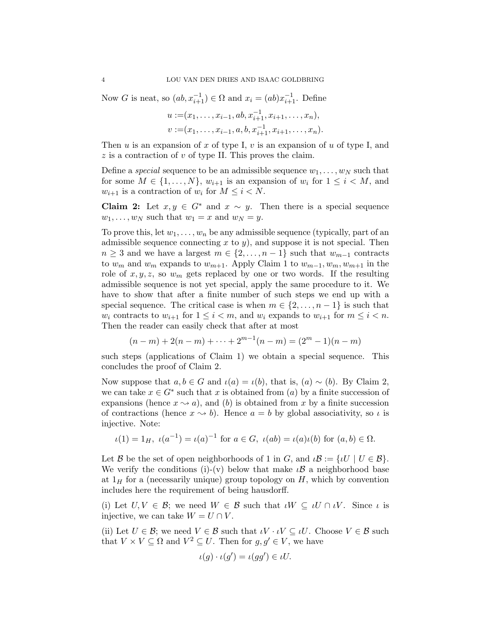Now G is neat, so  $(ab, x_{i+1}^{-1}) \in \Omega$  and  $x_i = (ab)x_{i+1}^{-1}$ . Define

$$
u := (x_1, \ldots, x_{i-1}, ab, x_{i+1}^{-1}, x_{i+1}, \ldots, x_n),
$$
  

$$
v := (x_1, \ldots, x_{i-1}, a, b, x_{i+1}^{-1}, x_{i+1}, \ldots, x_n).
$$

Then u is an expansion of x of type I,  $v$  is an expansion of u of type I, and  $z$  is a contraction of  $v$  of type II. This proves the claim.

Define a special sequence to be an admissible sequence  $w_1, \ldots, w_N$  such that for some  $M \in \{1, \ldots, N\}$ ,  $w_{i+1}$  is an expansion of  $w_i$  for  $1 \leq i \leq M$ , and  $w_{i+1}$  is a contraction of  $w_i$  for  $M \leq i \leq N$ .

**Claim 2:** Let  $x, y \in G^*$  and  $x \sim y$ . Then there is a special sequence  $w_1, \ldots, w_N$  such that  $w_1 = x$  and  $w_N = y$ .

To prove this, let  $w_1, \ldots, w_n$  be any admissible sequence (typically, part of an admissible sequence connecting x to y), and suppose it is not special. Then  $n \geq 3$  and we have a largest  $m \in \{2, \ldots, n-1\}$  such that  $w_{m-1}$  contracts to  $w_m$  and  $w_m$  expands to  $w_{m+1}$ . Apply Claim 1 to  $w_{m-1}, w_m, w_{m+1}$  in the role of  $x, y, z$ , so  $w_m$  gets replaced by one or two words. If the resulting admissible sequence is not yet special, apply the same procedure to it. We have to show that after a finite number of such steps we end up with a special sequence. The critical case is when  $m \in \{2, \ldots, n-1\}$  is such that  $w_i$  contracts to  $w_{i+1}$  for  $1 \leq i < m$ , and  $w_i$  expands to  $w_{i+1}$  for  $m \leq i < n$ . Then the reader can easily check that after at most

$$
(n-m) + 2(n-m) + \dots + 2^{m-1}(n-m) = (2^m - 1)(n-m)
$$

such steps (applications of Claim 1) we obtain a special sequence. This concludes the proof of Claim 2.

Now suppose that  $a, b \in G$  and  $\iota(a) = \iota(b)$ , that is,  $(a) \sim (b)$ . By Claim 2, we can take  $x \in G^*$  such that x is obtained from  $(a)$  by a finite succession of expansions (hence  $x \rightarrow a$ ), and (b) is obtained from x by a finite succession of contractions (hence  $x \rightarrow b$ ). Hence  $a = b$  by global associativity, so  $\iota$  is injective. Note:

 $\iota(1) = 1_H$ ,  $\iota(a^{-1}) = \iota(a)^{-1}$  for  $a \in G$ ,  $\iota(ab) = \iota(a)\iota(b)$  for  $(a, b) \in \Omega$ .

Let B be the set of open neighborhoods of 1 in G, and  $\iota \mathcal{B} := \{ \iota U \mid U \in \mathcal{B} \}.$ We verify the conditions (i)-(v) below that make  $\iota \mathcal{B}$  a neighborhood base at  $1_H$  for a (necessarily unique) group topology on  $H$ , which by convention includes here the requirement of being hausdorff.

(i) Let  $U, V \in \mathcal{B}$ ; we need  $W \in \mathcal{B}$  such that  $\iota W \subseteq \iota U \cap \iota V$ . Since  $\iota$  is injective, we can take  $W = U \cap V$ .

(ii) Let  $U \in \mathcal{B}$ ; we need  $V \in \mathcal{B}$  such that  $\iota V \cdot \iota V \subseteq \iota U$ . Choose  $V \in \mathcal{B}$  such that  $V \times V \subseteq \Omega$  and  $V^2 \subseteq U$ . Then for  $g, g' \in V$ , we have

$$
\iota(g) \cdot \iota(g') = \iota(gg') \in \iota U.
$$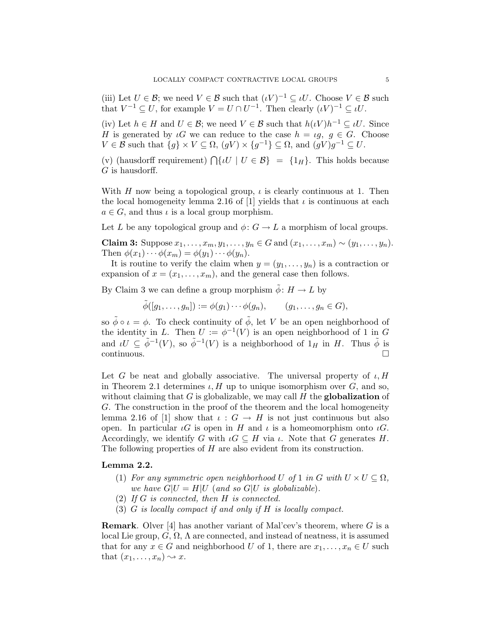(iii) Let  $U \in \mathcal{B}$ ; we need  $V \in \mathcal{B}$  such that  $(\iota V)^{-1} \subseteq \iota U$ . Choose  $V \in \mathcal{B}$  such that  $V^{-1} \subseteq U$ , for example  $V = U \cap U^{-1}$ . Then clearly  $(\iota V)^{-1} \subseteq \iota U$ .

(iv) Let  $h \in H$  and  $U \in \mathcal{B}$ ; we need  $V \in \mathcal{B}$  such that  $h(\iota V)h^{-1} \subseteq \iota U$ . Since H is generated by  $\iota G$  we can reduce to the case  $h = \iota g, g \in G$ . Choose  $V \in \mathcal{B}$  such that  $\{g\} \times V \subseteq \Omega$ ,  $(gV) \times \{g^{-1}\} \subseteq \Omega$ , and  $(gV)g^{-1} \subseteq U$ .

(v) (hausdorff requirement)  $\bigcap \{ U \mid U \in \mathcal{B} \} = \{ 1_H \}.$  This holds because  $G$  is hausdorff.

With H now being a topological group,  $\iota$  is clearly continuous at 1. Then the local homogeneity lemma 2.16 of [1] yields that  $\iota$  is continuous at each  $a \in G$ , and thus  $\iota$  is a local group morphism.

Let L be any topological group and  $\phi: G \to L$  a morphism of local groups.

Claim 3: Suppose  $x_1, \ldots, x_m, y_1, \ldots, y_n \in G$  and  $(x_1, \ldots, x_m) \sim (y_1, \ldots, y_n)$ . Then  $\phi(x_1)\cdots\phi(x_m)=\phi(y_1)\cdots\phi(y_n)$ .

It is routine to verify the claim when  $y = (y_1, \ldots, y_n)$  is a contraction or expansion of  $x = (x_1, \ldots, x_m)$ , and the general case then follows.

By Claim 3 we can define a group morphism  $\tilde{\phi} : H \to L$  by

 $\tilde{\phi}([g_1,\ldots,g_n]):=\phi(g_1)\cdots\phi(g_n),\qquad (g_1,\ldots,g_n\in G),$ 

so  $\tilde{\phi} \circ \iota = \phi$ . To check continuity of  $\tilde{\phi}$ , let V be an open neighborhood of the identity in L. Then  $U := \phi^{-1}(V)$  is an open neighborhood of 1 in G and  $\iota U \subseteq \tilde{\phi}^{-1}(V)$ , so  $\tilde{\phi}^{-1}(V)$  is a neighborhood of  $1_H$  in H. Thus  $\tilde{\phi}$  is  $\Box$ continuous.

Let G be neat and globally associative. The universal property of  $\iota, H$ in Theorem 2.1 determines  $\iota$ , H up to unique isomorphism over G, and so, without claiming that  $G$  is globalizable, we may call  $H$  the globalization of G. The construction in the proof of the theorem and the local homogeneity lemma 2.16 of [1] show that  $\iota: G \to H$  is not just continuous but also open. In particular  $\iota G$  is open in H and  $\iota$  is a homeomorphism onto  $\iota G$ . Accordingly, we identify G with  $\iota G \subseteq H$  via  $\iota$ . Note that G generates H. The following properties of  $H$  are also evident from its construction.

# Lemma 2.2.

- (1) For any symmetric open neighborhood U of 1 in G with  $U \times U \subseteq \Omega$ , we have  $G|U = H|U$  (and so  $G|U$  is globalizable).
- (2) If  $G$  is connected, then  $H$  is connected.
- (3) G is locally compact if and only if H is locally compact.

**Remark.** Olver [4] has another variant of Mal'cev's theorem, where  $G$  is a local Lie group,  $G, \Omega, \Lambda$  are connected, and instead of neatness, it is assumed that for any  $x \in G$  and neighborhood U of 1, there are  $x_1, \ldots, x_n \in U$  such that  $(x_1, \ldots, x_n) \rightsquigarrow x$ .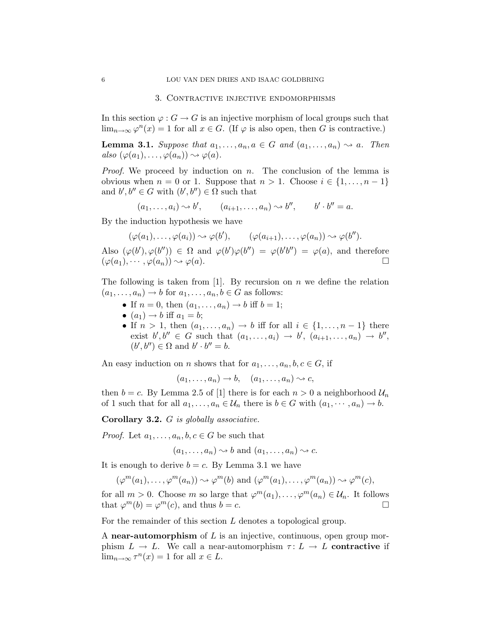#### 3. Contractive injective endomorphisms

In this section  $\varphi : G \to G$  is an injective morphism of local groups such that  $\lim_{n\to\infty}\varphi^n(x)=1$  for all  $x\in G$ . (If  $\varphi$  is also open, then G is contractive.)

**Lemma 3.1.** Suppose that  $a_1, \ldots, a_n, a \in G$  and  $(a_1, \ldots, a_n) \rightsquigarrow a$ . Then also  $(\varphi(a_1), \ldots, \varphi(a_n)) \rightsquigarrow \varphi(a)$ .

*Proof.* We proceed by induction on n. The conclusion of the lemma is obvious when  $n = 0$  or 1. Suppose that  $n > 1$ . Choose  $i \in \{1, ..., n-1\}$ and  $b', b'' \in G$  with  $(b', b'') \in \Omega$  such that

$$
(a_1,\ldots,a_i)\sim b', \qquad (a_{i+1},\ldots,a_n)\sim b'', \qquad b'\cdot b''=a.
$$

By the induction hypothesis we have

$$
(\varphi(a_1), \ldots, \varphi(a_i)) \rightsquigarrow \varphi(b'), \qquad (\varphi(a_{i+1}), \ldots, \varphi(a_n)) \rightsquigarrow \varphi(b'').
$$

Also  $(\varphi(b'), \varphi(b'')) \in \Omega$  and  $\varphi(b')\varphi(b'') = \varphi(b'b'') = \varphi(a)$ , and therefore  $(\varphi(a_1), \cdots, \varphi(a_n)) \rightsquigarrow \varphi(a).$ 

The following is taken from  $[1]$ . By recursion on n we define the relation  $(a_1, \ldots, a_n) \to b$  for  $a_1, \ldots, a_n, b \in G$  as follows:

- If  $n = 0$ , then  $(a_1, \ldots, a_n) \rightarrow b$  iff  $b = 1$ ;
- $(a_1) \rightarrow b$  iff  $a_1 = b$ ;
- If  $n > 1$ , then  $(a_1, \ldots, a_n) \to b$  iff for all  $i \in \{1, \ldots, n-1\}$  there exist  $b', b'' \in G$  such that  $(a_1, \ldots, a_i) \to b', (a_{i+1}, \ldots, a_n) \to b'',$  $(b', b'') \in \Omega$  and  $b' \cdot b'' = b$ .

An easy induction on n shows that for  $a_1, \ldots, a_n, b, c \in G$ , if

$$
(a_1,\ldots,a_n)\to b, \quad (a_1,\ldots,a_n)\sim c,
$$

then  $b = c$ . By Lemma 2.5 of [1] there is for each  $n > 0$  a neighborhood  $\mathcal{U}_n$ of 1 such that for all  $a_1, \ldots, a_n \in \mathcal{U}_n$  there is  $b \in G$  with  $(a_1, \cdots, a_n) \to b$ .

Corollary 3.2. G is globally associative.

*Proof.* Let  $a_1, \ldots, a_n, b, c \in G$  be such that

$$
(a_1, \ldots, a_n) \rightsquigarrow b
$$
 and  $(a_1, \ldots, a_n) \rightsquigarrow c$ .

It is enough to derive  $b = c$ . By Lemma 3.1 we have

$$
(\varphi^m(a_1), \ldots, \varphi^m(a_n)) \sim \varphi^m(b)
$$
 and  $(\varphi^m(a_1), \ldots, \varphi^m(a_n)) \sim \varphi^m(c)$ ,

for all  $m > 0$ . Choose m so large that  $\varphi^m(a_1), \ldots, \varphi^m(a_n) \in \mathcal{U}_n$ . It follows that  $\varphi^m(b) = \varphi^m(c)$ , and thus  $b = c$ .

For the remainder of this section L denotes a topological group.

A near-automorphism of  $L$  is an injective, continuous, open group morphism  $L \to L$ . We call a near-automorphism  $\tau: L \to L$  contractive if  $\lim_{n\to\infty} \tau^n(x) = 1$  for all  $x \in L$ .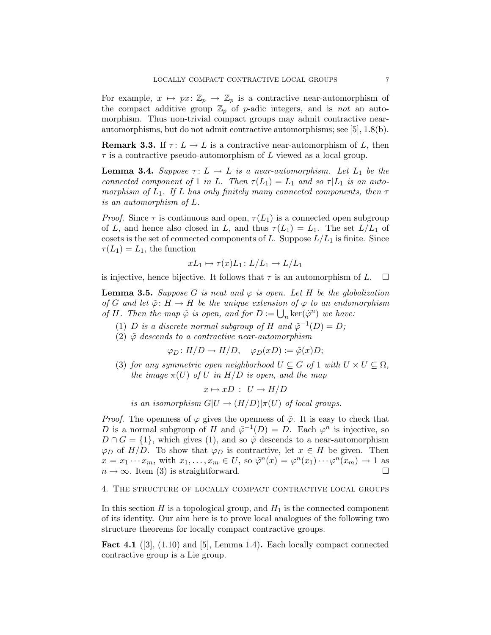For example,  $x \mapsto px \colon \mathbb{Z}_p \to \mathbb{Z}_p$  is a contractive near-automorphism of the compact additive group  $\mathbb{Z}_p$  of p-adic integers, and is not an automorphism. Thus non-trivial compact groups may admit contractive nearautomorphisms, but do not admit contractive automorphisms; see [5], 1.8(b).

**Remark 3.3.** If  $\tau: L \to L$  is a contractive near-automorphism of L, then  $\tau$  is a contractive pseudo-automorphism of L viewed as a local group.

**Lemma 3.4.** Suppose  $\tau: L \to L$  is a near-automorphism. Let  $L_1$  be the connected component of 1 in L. Then  $\tau(L_1) = L_1$  and so  $\tau | L_1$  is an automorphism of  $L_1$ . If L has only finitely many connected components, then  $\tau$ is an automorphism of L.

*Proof.* Since  $\tau$  is continuous and open,  $\tau(L_1)$  is a connected open subgroup of L, and hence also closed in L, and thus  $\tau(L_1) = L_1$ . The set  $L/L_1$  of cosets is the set of connected components of L. Suppose  $L/L_1$  is finite. Since  $\tau(L_1) = L_1$ , the function

$$
xL_1 \mapsto \tau(x)L_1 \colon L/L_1 \to L/L_1
$$

is injective, hence bijective. It follows that  $\tau$  is an automorphism of L.  $\Box$ 

**Lemma 3.5.** Suppose G is neat and  $\varphi$  is open. Let H be the globalization of G and let  $\tilde{\varphi}$ :  $H \to H$  be the unique extension of  $\varphi$  to an endomorphism of H. Then the map  $\tilde{\varphi}$  is open, and for  $D := \bigcup_n \ker(\tilde{\varphi}^n)$  we have:

- (1) D is a discrete normal subgroup of H and  $\tilde{\varphi}^{-1}(D) = D$ ;
- (2)  $\tilde{\varphi}$  descends to a contractive near-automorphism

$$
\varphi_D \colon H/D \to H/D, \quad \varphi_D(xD) := \tilde{\varphi}(x)D;
$$

(3) for any symmetric open neighborhood  $U \subseteq G$  of 1 with  $U \times U \subseteq \Omega$ , the image  $\pi(U)$  of U in  $H/D$  is open, and the map

 $x \mapsto xD : U \to H/D$ 

is an isomorphism  $G|U \to (H/D)|\pi(U)$  of local groups.

*Proof.* The openness of  $\varphi$  gives the openness of  $\tilde{\varphi}$ . It is easy to check that D is a normal subgroup of H and  $\tilde{\varphi}^{-1}(D) = D$ . Each  $\varphi^n$  is injective, so  $D \cap G = \{1\}$ , which gives (1), and so  $\tilde{\varphi}$  descends to a near-automorphism  $\varphi_D$  of  $H/D$ . To show that  $\varphi_D$  is contractive, let  $x \in H$  be given. Then  $x = x_1 \cdots x_m$ , with  $x_1, \ldots, x_m \in U$ , so  $\tilde{\varphi}^n(x) = \varphi^n(x_1) \cdots \varphi^n(x_m) \to 1$  as  $n \to \infty$ . Item (3) is straightforward.

# 4. The structure of locally compact contractive local groups

In this section  $H$  is a topological group, and  $H_1$  is the connected component of its identity. Our aim here is to prove local analogues of the following two structure theorems for locally compact contractive groups.

**Fact 4.1** ([3],  $(1.10)$  and [5], Lemma 1.4). Each locally compact connected contractive group is a Lie group.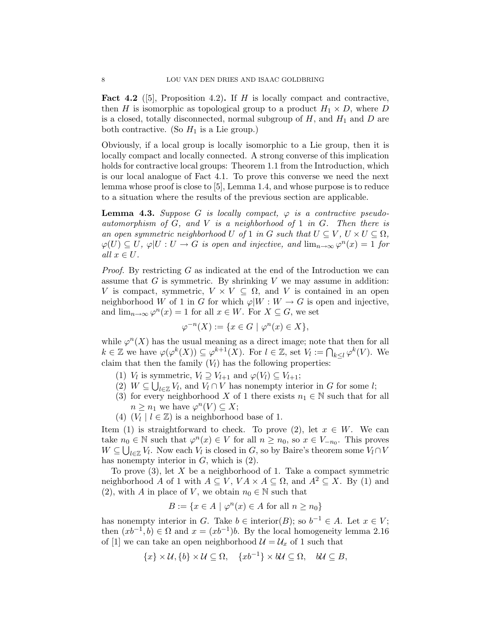**Fact 4.2** ([5], Proposition 4.2). If H is locally compact and contractive, then H is isomorphic as topological group to a product  $H_1 \times D$ , where D is a closed, totally disconnected, normal subgroup of  $H$ , and  $H_1$  and  $D$  are both contractive. (So  $H_1$  is a Lie group.)

Obviously, if a local group is locally isomorphic to a Lie group, then it is locally compact and locally connected. A strong converse of this implication holds for contractive local groups: Theorem 1.1 from the Introduction, which is our local analogue of Fact 4.1. To prove this converse we need the next lemma whose proof is close to [5], Lemma 1.4, and whose purpose is to reduce to a situation where the results of the previous section are applicable.

**Lemma 4.3.** Suppose G is locally compact,  $\varphi$  is a contractive pseudoautomorphism of  $G$ , and  $V$  is a neighborhood of 1 in  $G$ . Then there is an open symmetric neighborhood U of 1 in G such that  $U \subseteq V$ ,  $U \times U \subseteq \Omega$ ,  $\varphi(U) \subseteq U$ ,  $\varphi|U: U \to G$  is open and injective, and  $\lim_{n \to \infty} \varphi^{n}(x) = 1$  for all  $x \in U$ .

Proof. By restricting G as indicated at the end of the Introduction we can assume that  $G$  is symmetric. By shrinking  $V$  we may assume in addition: V is compact, symmetric,  $V \times V \subseteq \Omega$ , and V is contained in an open neighborhood W of 1 in G for which  $\varphi|W : W \to G$  is open and injective, and  $\lim_{n\to\infty}\varphi^n(x)=1$  for all  $x\in W$ . For  $X\subseteq G$ , we set

$$
\varphi^{-n}(X) := \{ x \in G \mid \varphi^n(x) \in X \},
$$

while  $\varphi^{n}(X)$  has the usual meaning as a direct image; note that then for all  $k \in \mathbb{Z}$  we have  $\varphi(\varphi^k(X)) \subseteq \varphi^{k+1}(X)$ . For  $l \in \mathbb{Z}$ , set  $V_l := \bigcap_{k \leq l} \varphi^k(V)$ . We claim that then the family  $(V_l)$  has the following properties:

- (1)  $V_l$  is symmetric,  $V_l \supseteq V_{l+1}$  and  $\varphi(V_l) \subseteq V_{l+1}$ ;
- (2)  $W \subseteq \bigcup_{l \in \mathbb{Z}} V_l$ , and  $V_l \cap V$  has nonempty interior in G for some l;
- (3) for every neighborhood X of 1 there exists  $n_1 \in \mathbb{N}$  such that for all  $n \geq n_1$  we have  $\varphi^n(V) \subseteq X;$
- (4)  $(V_l \mid l \in \mathbb{Z})$  is a neighborhood base of 1.

Item (1) is straightforward to check. To prove (2), let  $x \in W$ . We can take  $n_0 \in \mathbb{N}$  such that  $\varphi^n(x) \in V$  for all  $n \geq n_0$ , so  $x \in V_{-n_0}$ . This proves  $W \subseteq \bigcup_{l \in \mathbb{Z}} V_l$ . Now each  $V_l$  is closed in  $G$ , so by Baire's theorem some  $V_l \cap V_l$ has nonempty interior in  $G$ , which is  $(2)$ .

To prove  $(3)$ , let X be a neighborhood of 1. Take a compact symmetric neighborhood A of 1 with  $A \subseteq V$ ,  $VA \times A \subseteq \Omega$ , and  $A^2 \subseteq X$ . By (1) and (2), with A in place of V, we obtain  $n_0 \in \mathbb{N}$  such that

$$
B := \{ x \in A \mid \varphi^n(x) \in A \text{ for all } n \ge n_0 \}
$$

has nonempty interior in G. Take  $b \in \text{interior}(B)$ ; so  $b^{-1} \in A$ . Let  $x \in V$ ; then  $(xb^{-1}, b) \in \Omega$  and  $x = (xb^{-1})b$ . By the local homogeneity lemma 2.16 of [1] we can take an open neighborhood  $\mathcal{U} = \mathcal{U}_x$  of 1 such that

$$
\{x\} \times \mathcal{U}, \{b\} \times \mathcal{U} \subseteq \Omega, \quad \{xb^{-1}\} \times b\mathcal{U} \subseteq \Omega, \quad b\mathcal{U} \subseteq B,
$$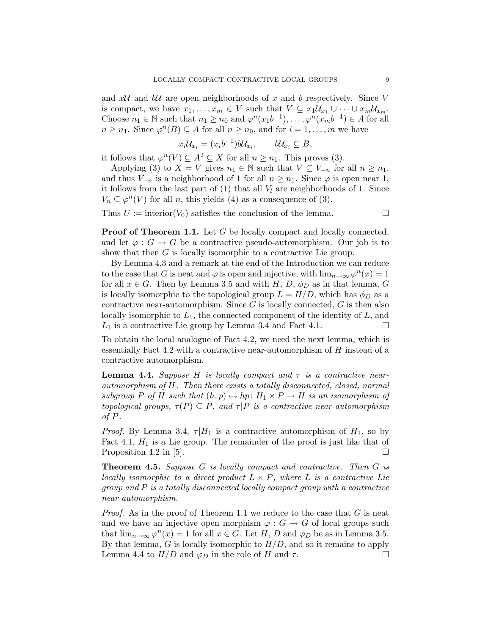and  $xU$  and  $bU$  are open neighborhoods of x and b respectively. Since V is compact, we have  $x_1, \ldots, x_m \in V$  such that  $V \subseteq x_1 \mathcal{U}_{x_1} \cup \cdots \cup x_m \mathcal{U}_{x_m}$ . Choose  $n_1 \in \mathbb{N}$  such that  $n_1 \geq n_0$  and  $\varphi^n(x_1 b^{-1}), \ldots, \varphi^n(x_m b^{-1}) \in A$  for all  $n \geq n_1$ . Since  $\varphi^n(B) \subseteq A$  for all  $n \geq n_0$ , and for  $i = 1, \ldots, m$  we have

$$
x_i\mathcal{U}_{x_i}=(x_ib^{-1})b\mathcal{U}_{x_i},\qquad b\mathcal{U}_{x_i}\subseteq B,
$$

it follows that  $\varphi^n(V) \subseteq A^2 \subseteq X$  for all  $n \geq n_1$ . This proves (3).

Applying (3) to  $X = V$  gives  $n_1 \in \mathbb{N}$  such that  $V \subseteq V_{-n}$  for all  $n \geq n_1$ , and thus  $V_{-n}$  is a neighborhood of 1 for all  $n \geq n_1$ . Since  $\varphi$  is open near 1, it follows from the last part of  $(1)$  that all  $V_l$  are neighborhoods of 1. Since  $V_n \subseteq \varphi^n(V)$  for all n, this yields (4) as a consequence of (3).

Thus  $U := \text{interior}(V_0)$  satisfies the conclusion of the lemma.

**Proof of Theorem 1.1.** Let G be locally compact and locally connected, and let  $\varphi : G \to G$  be a contractive pseudo-automorphism. Our job is to show that then G is locally isomorphic to a contractive Lie group.

By Lemma 4.3 and a remark at the end of the Introduction we can reduce to the case that G is neat and  $\varphi$  is open and injective, with  $\lim_{n\to\infty}\varphi^n(x)=1$ for all  $x \in G$ . Then by Lemma 3.5 and with H, D,  $\phi_D$  as in that lemma, G is locally isomorphic to the topological group  $L = H/D$ , which has  $\phi_D$  as a contractive near-automorphism. Since  $G$  is locally connected,  $G$  is then also locally isomorphic to  $L_1$ , the connected component of the identity of  $L$ , and  $L_1$  is a contractive Lie group by Lemma 3.4 and Fact 4.1.

To obtain the local analogue of Fact 4.2, we need the next lemma, which is essentially Fact 4.2 with a contractive near-automorphism of H instead of a contractive automorphism.

**Lemma 4.4.** Suppose H is locally compact and  $\tau$  is a contractive nearautomorphism of H. Then there exists a totally disconnected, closed, normal subgroup P of H such that  $(h, p) \mapsto hp: H_1 \times P \to H$  is an isomorphism of topological groups,  $\tau(P) \subseteq P$ , and  $\tau|P$  is a contractive near-automorphism of P.

*Proof.* By Lemma 3.4,  $\tau|H_1$  is a contractive automorphism of  $H_1$ , so by Fact 4.1,  $H_1$  is a Lie group. The remainder of the proof is just like that of Proposition 4.2 in [5].  $\Box$ 

Theorem 4.5. Suppose G is locally compact and contractive. Then G is locally isomorphic to a direct product  $L \times P$ , where L is a contractive Lie group and P is a totally disconnected locally compact group with a contractive near-automorphism.

*Proof.* As in the proof of Theorem 1.1 we reduce to the case that  $G$  is neat and we have an injective open morphism  $\varphi : G \to G$  of local groups such that  $\lim_{n\to\infty}\varphi^n(x)=1$  for all  $x\in G$ . Let H, D and  $\varphi_D$  be as in Lemma 3.5. By that lemma,  $G$  is locally isomorphic to  $H/D$ , and so it remains to apply Lemma 4.4 to  $H/D$  and  $\varphi_D$  in the role of H and  $\tau$ .